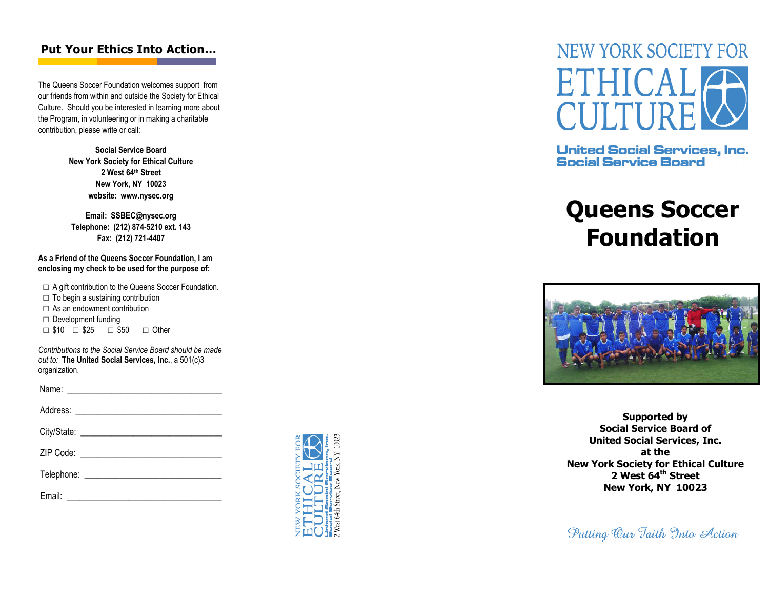## Put Your Ethics Into Action…

The Queens Soccer Foundation welcomes support from our friends from within and outside the Society for Ethical Culture. Should you be interested in learning more about the Program, in volunteering or in making a charitable contribution, please write or call:

> Social Service Board New York Society for Ethical Culture 2 West 64th Street New York, NY 10023website: www.nysec.org

Email: SSBEC@nysec.org Telephone: (212) 874-5210 ext. 143Fax: (212) 721-4407

As a Friend of the Queens Soccer Foundation, I am enclosing my check to be used for the purpose of:

□ A gift contribution to the Queens Soccer Foundation.

- $\Box$  To begin a sustaining contribution
- $\Box$  As an endowment contribution
- □ Development funding
- $\Box$  \$10  $\Box$  \$25  $\Box$  \$50  $\Box$  Other

Contributions to the Social Service Board should be made out to: The United Social Services, Inc., a 501(c)3 organization.





**United Social Services, Inc. Social Service Board** 

## Queens Soccer Foundation



Supported by Social Service Board of United Social Services, Inc. at the New York Society for Ethical Culture 2 West 64<sup>th</sup> Street New York, NY 10023

Putting Our Faith Into Action